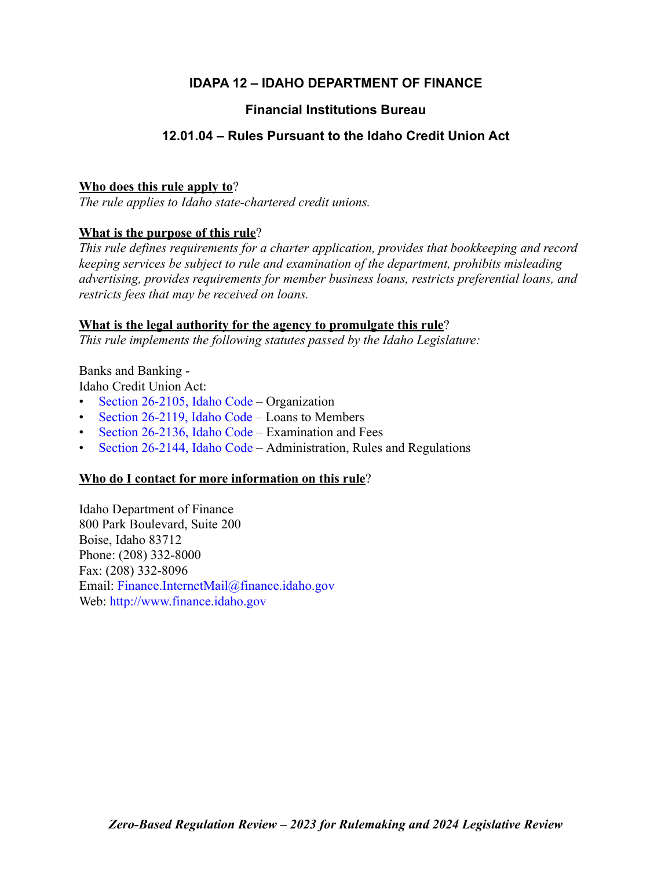# **IDAPA 12 – IDAHO DEPARTMENT OF FINANCE**

# **Financial Institutions Bureau**

# **12.01.04 – Rules Pursuant to the Idaho Credit Union Act**

# **Who does this rule apply to**?

*The rule applies to Idaho state-chartered credit unions.*

# **What is the purpose of this rule**?

*This rule defines requirements for a charter application, provides that bookkeeping and record keeping services be subject to rule and examination of the department, prohibits misleading advertising, provides requirements for member business loans, restricts preferential loans, and restricts fees that may be received on loans.*

# **What is the legal authority for the agency to promulgate this rule**?

*This rule implements the following statutes passed by the Idaho Legislature:*

Banks and Banking -

Idaho Credit Union Act:

- [Section 26-2105, Idaho Code –](https://legislature.idaho.gov/statutesrules/idstat/title26/t26ch21/sect26-2105/) Organization
- [Section 26-2119, Idaho Code](https://legislature.idaho.gov/statutesrules/idstat/title26/t26ch21/sect26-2119/)  Loans to Members
- [Section 26-2136, Idaho Code –](https://legislature.idaho.gov/statutesrules/idstat/title26/t26ch21/sect26-2136/) Examination and Fees
- [Section 26-2144, Idaho Code –](https://legislature.idaho.gov/statutesrules/idstat/title26/t26ch21/sect26-2144/) Administration, Rules and Regulations

# **Who do I contact for more information on this rule**?

Idaho Department of Finance 800 Park Boulevard, Suite 200 Boise, Idaho 83712 Phone: (208) 332-8000 Fax: (208) 332-8096 Email: [Finance.InternetMail@finance.idaho.gov](mailto:Finance.InternetMail@finance.idaho.gov) Web: <http://www.finance.idaho.gov>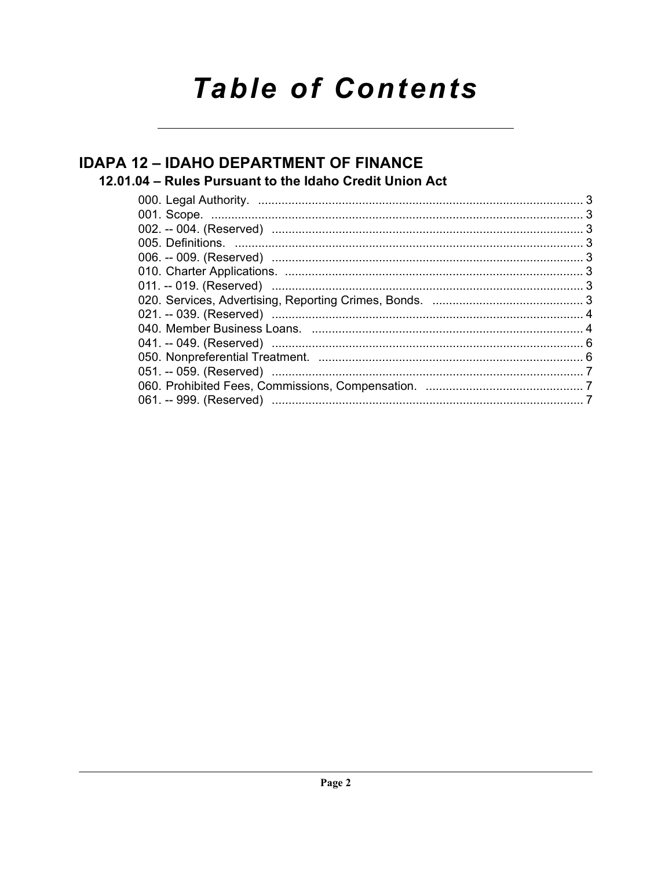# **Table of Contents**

# **IDAPA 12 - IDAHO DEPARTMENT OF FINANCE** 12.01.04 - Rules Pursuant to the Idaho Credit Union Act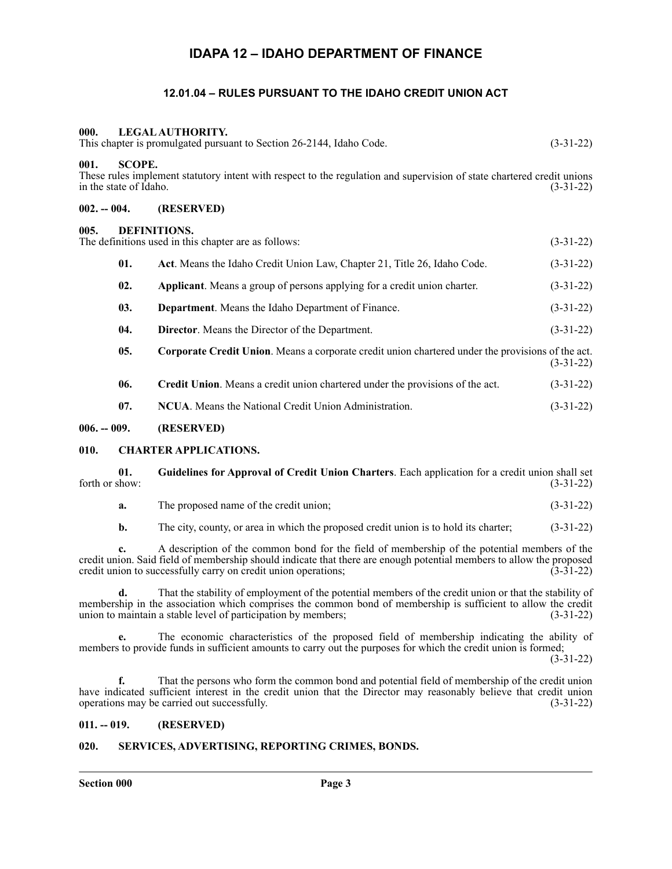# **IDAPA 12 – IDAHO DEPARTMENT OF FINANCE**

## **12.01.04 – RULES PURSUANT TO THE IDAHO CREDIT UNION ACT**

#### <span id="page-2-2"></span><span id="page-2-1"></span><span id="page-2-0"></span>**000. LEGAL AUTHORITY.**

<span id="page-2-5"></span><span id="page-2-4"></span><span id="page-2-3"></span>

| This chapter is promulgated pursuant to Section 26-2144, Idaho Code.<br>$(3-31-22)$                                                                                                      |                                                                                                                                                                                                               |                                                                                                   |             |
|------------------------------------------------------------------------------------------------------------------------------------------------------------------------------------------|---------------------------------------------------------------------------------------------------------------------------------------------------------------------------------------------------------------|---------------------------------------------------------------------------------------------------|-------------|
| <b>SCOPE.</b><br>001.<br>These rules implement statutory intent with respect to the regulation and supervision of state chartered credit unions<br>in the state of Idaho.<br>$(3-31-22)$ |                                                                                                                                                                                                               |                                                                                                   |             |
| $002. - 004.$                                                                                                                                                                            |                                                                                                                                                                                                               | (RESERVED)                                                                                        |             |
| <b>DEFINITIONS.</b><br>005.<br>The definitions used in this chapter are as follows:<br>$(3-31-22)$                                                                                       |                                                                                                                                                                                                               |                                                                                                   |             |
|                                                                                                                                                                                          | 01.                                                                                                                                                                                                           | Act. Means the Idaho Credit Union Law, Chapter 21, Title 26, Idaho Code.                          | $(3-31-22)$ |
|                                                                                                                                                                                          | 02.<br>Applicant. Means a group of persons applying for a credit union charter.<br>03.<br>Department. Means the Idaho Department of Finance.<br>04.<br><b>Director.</b> Means the Director of the Department. |                                                                                                   | $(3-31-22)$ |
|                                                                                                                                                                                          |                                                                                                                                                                                                               |                                                                                                   | $(3-31-22)$ |
|                                                                                                                                                                                          |                                                                                                                                                                                                               |                                                                                                   | $(3-31-22)$ |
|                                                                                                                                                                                          | 05.                                                                                                                                                                                                           | Corporate Credit Union. Means a corporate credit union chartered under the provisions of the act. | $(3-31-22)$ |
|                                                                                                                                                                                          | 06.                                                                                                                                                                                                           | Credit Union. Means a credit union chartered under the provisions of the act.                     | $(3-31-22)$ |
|                                                                                                                                                                                          | 07.                                                                                                                                                                                                           | <b>NCUA.</b> Means the National Credit Union Administration.                                      | $(3-31-22)$ |
|                                                                                                                                                                                          |                                                                                                                                                                                                               |                                                                                                   |             |

#### <span id="page-2-6"></span>**006. -- 009. (RESERVED)**

#### <span id="page-2-7"></span>**010. CHARTER APPLICATIONS.**

**01. Guidelines for Approval of Credit Union Charters**. Each application for a credit union shall set forth or show:  $(3-31-22)$ 

|  | The proposed name of the credit union: | $(3-31-22)$ |
|--|----------------------------------------|-------------|
|--|----------------------------------------|-------------|

**b.** The city, county, or area in which the proposed credit union is to hold its charter; (3-31-22)

**c.** A description of the common bond for the field of membership of the potential members of the credit union. Said field of membership should indicate that there are enough potential members to allow the proposed<br>credit union to successfully carry on credit union operations: (3-31-22) credit union to successfully carry on credit union operations;

**d.** That the stability of employment of the potential members of the credit union or that the stability of membership in the association which comprises the common bond of membership is sufficient to allow the credit union to maintain a stable level of participation by members; (3-31-22)

**e.** The economic characteristics of the proposed field of membership indicating the ability of members to provide funds in sufficient amounts to carry out the purposes for which the credit union is formed;

(3-31-22)

**f.** That the persons who form the common bond and potential field of membership of the credit union have indicated sufficient interest in the credit union that the Director may reasonably believe that credit union operations may be carried out successfully. (3-31-22)

#### <span id="page-2-8"></span>**011. -- 019. (RESERVED)**

#### <span id="page-2-9"></span>**020. SERVICES, ADVERTISING, REPORTING CRIMES, BONDS.**

**Section 000 Page 3**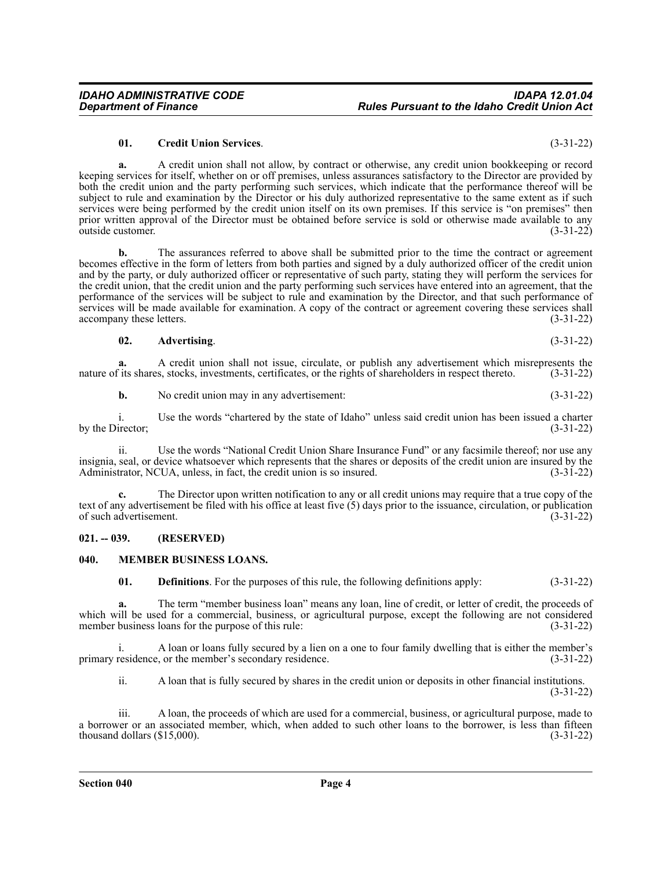#### **01. Credit Union Services**. (3-31-22)

**a.** A credit union shall not allow, by contract or otherwise, any credit union bookkeeping or record keeping services for itself, whether on or off premises, unless assurances satisfactory to the Director are provided by both the credit union and the party performing such services, which indicate that the performance thereof will be subject to rule and examination by the Director or his duly authorized representative to the same extent as if such services were being performed by the credit union itself on its own premises. If this service is "on premises" then prior written approval of the Director must be obtained before service is sold or otherwise made available to any outside customer. (3-31-22) outside customer.

**b.** The assurances referred to above shall be submitted prior to the time the contract or agreement becomes effective in the form of letters from both parties and signed by a duly authorized officer of the credit union and by the party, or duly authorized officer or representative of such party, stating they will perform the services for the credit union, that the credit union and the party performing such services have entered into an agreement, that the performance of the services will be subject to rule and examination by the Director, and that such performance of services will be made available for examination. A copy of the contract or agreement covering these services shall accompany these letters. (3-31-22)

**02. Advertising**. (3-31-22)

**a.** A credit union shall not issue, circulate, or publish any advertisement which misrepresents the fits shares, stocks, investments, certificates, or the rights of shareholders in respect thereto. (3-31-22) nature of its shares, stocks, investments, certificates, or the rights of shareholders in respect thereto.

**b.** No credit union may in any advertisement: (3-31-22)

i. Use the words "chartered by the state of Idaho" unless said credit union has been issued a charter irector;<br>(3-31-22) by the Director;

ii. Use the words "National Credit Union Share Insurance Fund" or any facsimile thereof; nor use any insignia, seal, or device whatsoever which represents that the shares or deposits of the credit union are insured by the Administrator, NCUA, unless, in fact, the credit union is so insured. (3-31-22)

**c.** The Director upon written notification to any or all credit unions may require that a true copy of the text of any advertisement be filed with his office at least five (5) days prior to the issuance, circulation, or publication of such advertisement. (3-31-22)

#### <span id="page-3-0"></span>**021. -- 039. (RESERVED)**

#### <span id="page-3-1"></span>**040. MEMBER BUSINESS LOANS.**

**01. Definitions**. For the purposes of this rule, the following definitions apply: (3-31-22)

**a.** The term "member business loan" means any loan, line of credit, or letter of credit, the proceeds of which will be used for a commercial, business, or agricultural purpose, except the following are not considered member business loans for the purpose of this rule: (3-31-22) member business loans for the purpose of this rule:

A loan or loans fully secured by a lien on a one to four family dwelling that is either the member's execondary residence. (3-31-22) primary residence, or the member's secondary residence.

ii. A loan that is fully secured by shares in the credit union or deposits in other financial institutions. (3-31-22)

iii. A loan, the proceeds of which are used for a commercial, business, or agricultural purpose, made to a borrower or an associated member, which, when added to such other loans to the borrower, is less than fifteen thousand dollars (\$15,000). (3-31-22) thousand dollars  $(\$15,000)$ .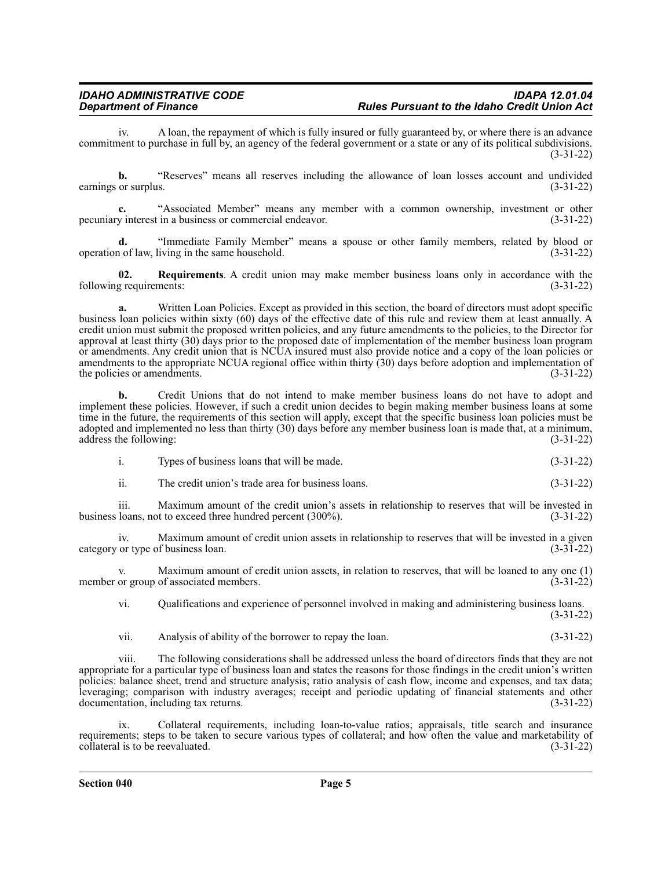### *IDAHO ADMINISTRATIVE CODE IDAPA 12.01.04* **Rules Pursuant to the Idaho Credit Union Act**

iv. A loan, the repayment of which is fully insured or fully guaranteed by, or where there is an advance commitment to purchase in full by, an agency of the federal government or a state or any of its political subdivisions. (3-31-22)

**b.** "Reserves" means all reserves including the allowance of loan losses account and undivided earnings or surplus. (3-31-22)

**c.** "Associated Member" means any member with a common ownership, investment or other pecuniary interest in a business or commercial endeavor. (3-31-22)

**d.** "Immediate Family Member" means a spouse or other family members, related by blood or operation of law, living in the same household. (3-31-22)

**02. Requirements**. A credit union may make member business loans only in accordance with the following requirements: (3-31-22)

**a.** Written Loan Policies. Except as provided in this section, the board of directors must adopt specific business loan policies within sixty (60) days of the effective date of this rule and review them at least annually. A credit union must submit the proposed written policies, and any future amendments to the policies, to the Director for approval at least thirty (30) days prior to the proposed date of implementation of the member business loan program or amendments. Any credit union that is NCUA insured must also provide notice and a copy of the loan policies or amendments to the appropriate NCUA regional office within thirty  $(30)$  days before adoption and implementation of the policies or amendments.  $(3-31-22)$ the policies or amendments.

**b.** Credit Unions that do not intend to make member business loans do not have to adopt and implement these policies. However, if such a credit union decides to begin making member business loans at some time in the future, the requirements of this section will apply, except that the specific business loan policies must be adopted and implemented no less than thirty (30) days before any member business loan is made that, at a minimum, address the following: (3-31-22)

| Types of business loans that will be made. | $(3-31-22)$ |
|--------------------------------------------|-------------|
|                                            |             |

ii. The credit union's trade area for business loans. (3-31-22)

iii. Maximum amount of the credit union's assets in relationship to reserves that will be invested in business loans, not to exceed three hundred percent (300%). (3-31-22)

iv. Maximum amount of credit union assets in relationship to reserves that will be invested in a given category or type of business loan. (3-31-22)

v. Maximum amount of credit union assets, in relation to reserves, that will be loaned to any one (1) member or group of associated members. (3-31-22)

vi. Qualifications and experience of personnel involved in making and administering business loans. (3-31-22)

vii. Analysis of ability of the borrower to repay the loan. (3-31-22)

viii. The following considerations shall be addressed unless the board of directors finds that they are not appropriate for a particular type of business loan and states the reasons for those findings in the credit union's written policies: balance sheet, trend and structure analysis; ratio analysis of cash flow, income and expenses, and tax data; leveraging; comparison with industry averages; receipt and periodic updating of financial statements and other documentation, including tax returns. (3-31-22)

ix. Collateral requirements, including loan-to-value ratios; appraisals, title search and insurance requirements; steps to be taken to secure various types of collateral; and how often the value and marketability of collateral is to be reevaluated. (3-31-22)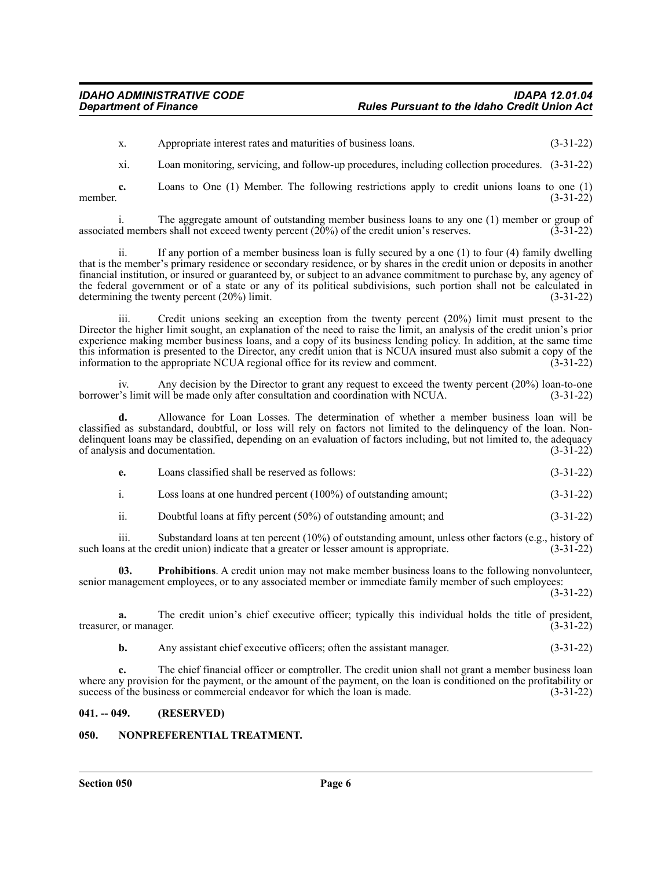x. Appropriate interest rates and maturities of business loans. (3-31-22)

xi. Loan monitoring, servicing, and follow-up procedures, including collection procedures. (3-31-22)

**c.** Loans to One (1) Member. The following restrictions apply to credit unions loans to one (1) member.  $(3-31-22)$ 

i. The aggregate amount of outstanding member business loans to any one (1) member or group of associated members shall not exceed twenty percent  $(20\%)$  of the credit union's reserves.  $(3-31-22)$ 

ii. If any portion of a member business loan is fully secured by a one (1) to four (4) family dwelling that is the member's primary residence or secondary residence, or by shares in the credit union or deposits in another financial institution, or insured or guaranteed by, or subject to an advance commitment to purchase by, any agency of the federal government or of a state or any of its political subdivisions, such portion shall not be calculated in determining the twenty percent  $(20\%)$  limit. (3-31-22)

iii. Credit unions seeking an exception from the twenty percent (20%) limit must present to the Director the higher limit sought, an explanation of the need to raise the limit, an analysis of the credit union's prior experience making member business loans, and a copy of its business lending policy. In addition, at the same time this information is presented to the Director, any credit union that is NCUA insured must also submit a copy of the information to the appropriate NCUA regional office for its review and comment. (3-31-22) information to the appropriate NCUA regional office for its review and comment.

iv. Any decision by the Director to grant any request to exceed the twenty percent (20%) loan-to-one borrower's limit will be made only after consultation and coordination with NCUA. (3-31-22)

**d.** Allowance for Loan Losses. The determination of whether a member business loan will be classified as substandard, doubtful, or loss will rely on factors not limited to the delinquency of the loan. Nondelinquent loans may be classified, depending on an evaluation of factors including, but not limited to, the adequacy of analysis and documentation. (3-31-22)

| Loans classified shall be reserved as follows:<br>e. | $(3-31-22)$ |
|------------------------------------------------------|-------------|
|------------------------------------------------------|-------------|

- i. Loss loans at one hundred percent (100%) of outstanding amount; (3-31-22)
- ii. Doubtful loans at fifty percent (50%) of outstanding amount; and (3-31-22)

iii. Substandard loans at ten percent (10%) of outstanding amount, unless other factors (e.g., history of such loans at the credit union) indicate that a greater or lesser amount is appropriate. (3-31-22)

**Prohibitions**. A credit union may not make member business loans to the following nonvolunteer, senior management employees, or to any associated member or immediate family member of such employees:

(3-31-22)

**a.** The credit union's chief executive officer; typically this individual holds the title of president, or manager. (3-31-22) treasurer, or manager.

**b.** Any assistant chief executive officers; often the assistant manager. (3-31-22)

**c.** The chief financial officer or comptroller. The credit union shall not grant a member business loan where any provision for the payment, or the amount of the payment, on the loan is conditioned on the profitability or success of the business or commercial endeavor for which the loan is made. (3-31-22)

#### <span id="page-5-0"></span>**041. -- 049. (RESERVED)**

#### <span id="page-5-1"></span>**050. NONPREFERENTIAL TREATMENT.**